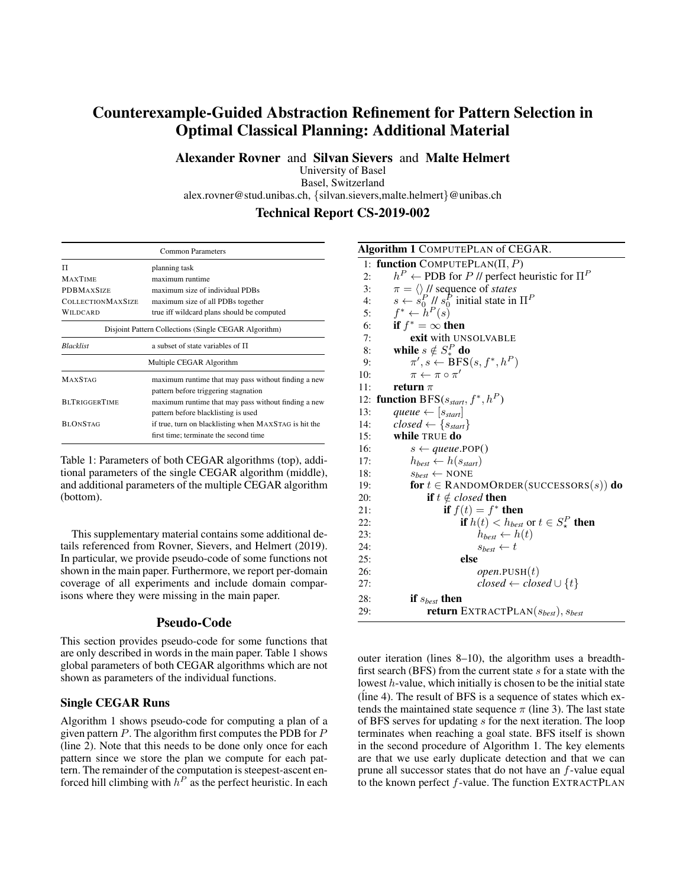# Counterexample-Guided Abstraction Refinement for Pattern Selection in Optimal Classical Planning: Additional Material

Alexander Rovner and Silvan Sievers and Malte Helmert

University of Basel Basel, Switzerland

alex.rovner@stud.unibas.ch, {silvan.sievers,malte.helmert}@unibas.ch

### Technical Report CS-2019-002

| <b>Common Parameters</b>                                 |                                                       |  |  |  |  |  |  |
|----------------------------------------------------------|-------------------------------------------------------|--|--|--|--|--|--|
| π                                                        | planning task                                         |  |  |  |  |  |  |
| <b>MAXTIME</b>                                           | maximum runtime                                       |  |  |  |  |  |  |
| <b>PDBMAXSIZE</b>                                        | maximum size of individual PDBs                       |  |  |  |  |  |  |
| <b>COLLECTIONMAXSIZE</b>                                 | maximum size of all PDBs together                     |  |  |  |  |  |  |
| true iff wildcard plans should be computed<br>WILDCARD   |                                                       |  |  |  |  |  |  |
|                                                          | Disjoint Pattern Collections (Single CEGAR Algorithm) |  |  |  |  |  |  |
| <b>Blacklist</b><br>a subset of state variables of $\Pi$ |                                                       |  |  |  |  |  |  |
|                                                          | Multiple CEGAR Algorithm                              |  |  |  |  |  |  |
| <b>MAXSTAG</b>                                           | maximum runtime that may pass without finding a new   |  |  |  |  |  |  |
|                                                          | pattern before triggering stagnation                  |  |  |  |  |  |  |
| <b>BLTRIGGERTIME</b>                                     | maximum runtime that may pass without finding a new   |  |  |  |  |  |  |
|                                                          | pattern before blacklisting is used                   |  |  |  |  |  |  |
| <b>BLONSTAG</b>                                          | if true, turn on blacklisting when MAXSTAG is hit the |  |  |  |  |  |  |
|                                                          | first time; terminate the second time                 |  |  |  |  |  |  |

Table 1: Parameters of both CEGAR algorithms (top), additional parameters of the single CEGAR algorithm (middle), and additional parameters of the multiple CEGAR algorithm (bottom).

This supplementary material contains some additional details referenced from Rovner, Sievers, and Helmert (2019). In particular, we provide pseudo-code of some functions not shown in the main paper. Furthermore, we report per-domain coverage of all experiments and include domain comparisons where they were missing in the main paper.

## Pseudo-Code

This section provides pseudo-code for some functions that are only described in words in the main paper. Table 1 shows global parameters of both CEGAR algorithms which are not shown as parameters of the individual functions.

#### Single CEGAR Runs

Algorithm 1 shows pseudo-code for computing a plan of a given pattern  $P$ . The algorithm first computes the PDB for  $P$ (line 2). Note that this needs to be done only once for each pattern since we store the plan we compute for each pattern. The remainder of the computation is steepest-ascent enforced hill climbing with  $h^P$  as the perfect heuristic. In each

| Algorithm 1 COMPUTEPLAN of CEGAR.                                       |
|-------------------------------------------------------------------------|
| 1: function COMPUTEPLAN( $\Pi, P$ )                                     |
| $h^P \leftarrow$ PDB for P // perfect heuristic for $\Pi^P$<br>2:       |
| $\pi = \langle \rangle$ // sequence of <i>states</i><br>3:              |
| $s \leftarrow s_0^P$ // $s_0^P$ initial state in $\Pi^P$<br>4:          |
| $f^* \leftarrow h^P(s)$<br>5:                                           |
| if $f^* = \infty$ then<br>6:                                            |
| 7:<br>exit with UNSOLVABLE                                              |
| while $s \notin S^P_*$ do<br>8:                                         |
| $\pi', s \leftarrow \text{BFS}(s, f^*, h^P)$<br>9:                      |
| $\pi \leftarrow \pi \circ \pi'$<br>10:                                  |
| 11:<br>return $\pi$                                                     |
| 12: function BFS( $s_{start}, f^*, h^P$ )                               |
| queue $\leftarrow [s_{start}]$<br>13:                                   |
| $closed \leftarrow \{s_{start}\}$<br>14:                                |
| while TRUE do<br>15:                                                    |
| 16:<br>$s \leftarrow queue.POP()$                                       |
| $h_{best} \leftarrow h(s_{start})$<br>17:                               |
| $s_{best} \leftarrow \text{NONE}$<br>18:                                |
| for $t \in$ RANDOMORDER(SUCCESSORS(s)) do<br>19:                        |
| <b>if</b> $t \notin closed$ then<br>20:                                 |
| if $f(t) = f^*$ then<br>21:                                             |
| <b>if</b> $h(t) < h_{best}$ or $t \in S_{\star}^{P}$ <b>then</b><br>22: |
| $h_{best} \leftarrow h(t)$<br>23:                                       |
| 24:<br>$s_{best} \leftarrow t$                                          |
| 25:<br>else                                                             |
| <i>open</i> .PUSH $(t)$<br>26:                                          |
| $closed \leftarrow closed \cup \{t\}$<br>27:                            |
| if $s_{best}$ then<br>28:                                               |
| <b>return</b> EXTRACTPLAN $(s_{best})$ , $s_{best}$<br>29:              |
|                                                                         |

outer iteration (lines 8–10), the algorithm uses a breadthfirst search (BFS) from the current state  $s$  for a state with the lowest h-value, which initially is chosen to be the initial state (line 4). The result of BFS is a sequence of states which extends the maintained state sequence  $\pi$  (line 3). The last state of BFS serves for updating s for the next iteration. The loop terminates when reaching a goal state. BFS itself is shown in the second procedure of Algorithm 1. The key elements are that we use early duplicate detection and that we can prune all successor states that do not have an  $f$ -value equal to the known perfect  $f$ -value. The function EXTRACTPLAN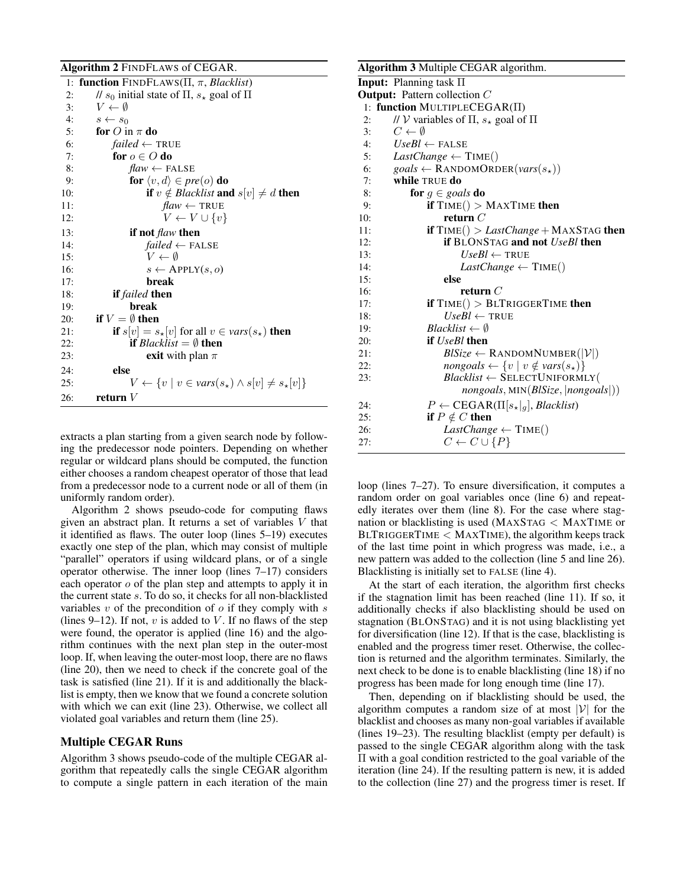|     | Algorithm 2 FINDFLAWS of CEGAR.                                              |
|-----|------------------------------------------------------------------------------|
| 1:  | <b>function</b> FINDFLAWS( $\Pi$ , $\pi$ , <i>Blacklist</i> )                |
| 2:  | // $s_0$ initial state of $\Pi$ , $s_{\star}$ goal of $\Pi$                  |
| 3:  | $V \leftarrow \emptyset$                                                     |
| 4:  | $s \leftarrow s_0$                                                           |
| 5:  | for O in $\pi$ do                                                            |
| 6:  | <i>failed</i> $\leftarrow$ TRUE                                              |
| 7:  | for $o \in O$ do                                                             |
| 8:  | $flaw \leftarrow$ FALSE                                                      |
| 9:  | for $\langle v, d \rangle \in pre(o)$ do                                     |
| 10: | <b>if</b> $v \notin Blacklist$ and $s[v] \neq d$ then                        |
| 11: | $flaw \leftarrow \text{TRUE}$                                                |
| 12: | $V \leftarrow V \cup \{v\}$                                                  |
| 13: | if not $\text{flaw}$ then                                                    |
| 14: | $failed \leftarrow FALSE$                                                    |
| 15: | $V \leftarrow \emptyset$                                                     |
| 16: | $s \leftarrow$ APPLY $(s, o)$                                                |
| 17: | break                                                                        |
| 18: | if failed then                                                               |
| 19: | break                                                                        |
| 20: | if $V = \emptyset$ then                                                      |
| 21: | <b>if</b> $s[v] = s_*[v]$ for all $v \in vars(s_*)$ <b>then</b>              |
| 22: | <b>if</b> Blacklist $=\emptyset$ then                                        |
| 23: | <b>exit</b> with plan $\pi$                                                  |
| 24: | else                                                                         |
| 25: | $V \leftarrow \{v \mid v \in vars(s_{\star}) \land s[v] \neq s_{\star}[v]\}$ |
| 26: | return $V$                                                                   |

extracts a plan starting from a given search node by following the predecessor node pointers. Depending on whether regular or wildcard plans should be computed, the function either chooses a random cheapest operator of those that lead from a predecessor node to a current node or all of them (in uniformly random order).

Algorithm 2 shows pseudo-code for computing flaws given an abstract plan. It returns a set of variables V that it identified as flaws. The outer loop (lines 5–19) executes exactly one step of the plan, which may consist of multiple "parallel" operators if using wildcard plans, or of a single operator otherwise. The inner loop (lines 7–17) considers each operator  $o$  of the plan step and attempts to apply it in the current state s. To do so, it checks for all non-blacklisted variables  $v$  of the precondition of  $o$  if they comply with  $s$ (lines 9–12). If not,  $v$  is added to  $V$ . If no flaws of the step were found, the operator is applied (line 16) and the algorithm continues with the next plan step in the outer-most loop. If, when leaving the outer-most loop, there are no flaws (line 20), then we need to check if the concrete goal of the task is satisfied (line 21). If it is and additionally the blacklist is empty, then we know that we found a concrete solution with which we can exit (line 23). Otherwise, we collect all violated goal variables and return them (line 25).

#### Multiple CEGAR Runs

Algorithm 3 shows pseudo-code of the multiple CEGAR algorithm that repeatedly calls the single CEGAR algorithm to compute a single pattern in each iteration of the main

## Algorithm 3 Multiple CEGAR algorithm

|     | $\alpha$                                                                   |
|-----|----------------------------------------------------------------------------|
|     | <b>Input:</b> Planning task $\Pi$                                          |
|     | <b>Output:</b> Pattern collection $C$                                      |
|     | 1: function MULTIPLECEGAR( $\Pi$ )                                         |
| 2:  | // $V$ variables of $\Pi$ , $s_{\star}$ goal of $\Pi$                      |
| 3:  | $C \leftarrow \emptyset$                                                   |
| 4:  | $UseBl \leftarrow FALSE$                                                   |
| 5:  | <i>LastChange</i> $\leftarrow$ TIME()                                      |
| 6:  | $\textit{goals} \leftarrow \text{RANDOMORDER}(\textit{vars}(s_{\star}))$   |
| 7:  | while TRUE do                                                              |
| 8:  | for $g \in \text{goals}$ do                                                |
| 9:  | if $TIME() > MAXTIME$ then                                                 |
| 10: | return $C$                                                                 |
| 11: | <b>if</b> $TIME() > LastChange + MAXSTAG$ then                             |
| 12: | <b>if BLONSTAG and not UseBl then</b>                                      |
| 13: | $UseBl \leftarrow TRUE$                                                    |
| 14: | <i>LastChange</i> $\leftarrow$ TIME()                                      |
| 15: | else                                                                       |
| 16: | return $C$                                                                 |
| 17: | if $TIME() > BLTRIGGERTIME$ then                                           |
| 18: | $UseBl \leftarrow TRUE$                                                    |
| 19: | $Blacklist \leftarrow \emptyset$                                           |
| 20: | if <i>UseBl</i> then                                                       |
| 21: | $BlSize \leftarrow$ RANDOMNUMBER( $ \mathcal{V} $ )                        |
| 22: | $\textit{nongoals} \leftarrow \{v \mid v \notin \textit{vars}(s_\star)\}\$ |
| 23: | $Blacklist \leftarrow \text{SELECTUNIFORMLY}$                              |
|     | $nongoals$ , MIN $(BlSize,  nongoals )$                                    |
| 24: | $P \leftarrow \text{CEGAR}(\Pi[s_\star _g], \text{Blacklist})$             |
| 25: | if $P \notin C$ then                                                       |
| 26: | <i>LastChange</i> $\leftarrow$ TIME()                                      |
| 27: | $C \leftarrow C \cup \{P\}$                                                |
|     |                                                                            |

loop (lines 7–27). To ensure diversification, it computes a random order on goal variables once (line 6) and repeatedly iterates over them (line 8). For the case where stagnation or blacklisting is used (MAXSTAG < MAXTIME or  $BLTRIGGERTIME < MAXTIME$ ), the algorithm keeps track of the last time point in which progress was made, i.e., a new pattern was added to the collection (line 5 and line 26). Blacklisting is initially set to FALSE (line 4).

At the start of each iteration, the algorithm first checks if the stagnation limit has been reached (line 11). If so, it additionally checks if also blacklisting should be used on stagnation (BLONSTAG) and it is not using blacklisting yet for diversification (line 12). If that is the case, blacklisting is enabled and the progress timer reset. Otherwise, the collection is returned and the algorithm terminates. Similarly, the next check to be done is to enable blacklisting (line 18) if no progress has been made for long enough time (line 17).

Then, depending on if blacklisting should be used, the algorithm computes a random size of at most  $|\mathcal{V}|$  for the blacklist and chooses as many non-goal variables if available (lines 19–23). The resulting blacklist (empty per default) is passed to the single CEGAR algorithm along with the task Π with a goal condition restricted to the goal variable of the iteration (line 24). If the resulting pattern is new, it is added to the collection (line 27) and the progress timer is reset. If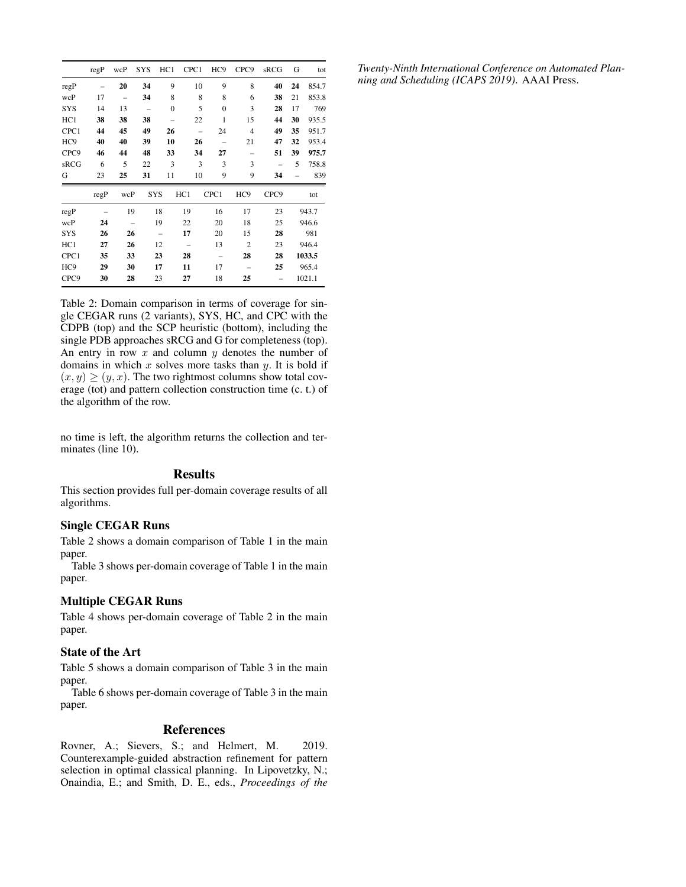|                  | regP | wcP                      | <b>SYS</b> | HC1          | CPC1 | HC <sub>9</sub> | CPC <sub>9</sub> | sRCG | G  | tot    |
|------------------|------|--------------------------|------------|--------------|------|-----------------|------------------|------|----|--------|
| regP             |      | 20                       | 34         | 9            | 10   | 9               | 8                | 40   | 24 | 854.7  |
| wcP              | 17   | -                        | 34         | 8            | 8    | 8               | 6                | 38   | 21 | 853.8  |
| <b>SYS</b>       | 14   | 13                       |            | $\mathbf{0}$ | 5    | $\overline{0}$  | 3                | 28   | 17 | 769    |
| HC1              | 38   | 38                       | 38         |              | 22   | 1               | 15               | 44   | 30 | 935.5  |
| CPC1             | 44   | 45                       | 49         | 26           |      | 24              | $\overline{4}$   | 49   | 35 | 951.7  |
| HC <sub>9</sub>  | 40   | 40                       | 39         | 10           | 26   |                 | 21               | 47   | 32 | 953.4  |
| CPC <sub>9</sub> | 46   | 44                       | 48         | 33           | 34   | 27              | -                | 51   | 39 | 975.7  |
| sRCG             | 6    | 5                        | 22         | 3            | 3    | 3               | 3                |      | 5  | 758.8  |
| G                | 23   | 25                       | 31         | 11           | 10   | 9               | 9                | 34   |    | 839    |
|                  | regP | wcP                      | <b>SYS</b> |              | HC1  | CPC1            | HC <sub>9</sub>  | CPC9 |    | tot    |
| regP             |      | 19                       |            | 18           | 19   | 16              | 17               | 23   |    | 943.7  |
| wcP              | 24   | $\overline{\phantom{0}}$ |            | 19           | 22   | 20              | 18               | 25   |    | 946.6  |
| SYS              | 26   | 26                       |            | -            | 17   | 20              | 15               | 28   |    | 981    |
| HC1              | 27   | 26                       |            | 12           |      | 13              | $\overline{2}$   | 23   |    | 946.4  |
| CPC1             | 35   | 33                       |            | 23           | 28   |                 | 28               | 28   |    | 1033.5 |
| HC <sub>9</sub>  | 29   | 30                       |            | 17           | 11   | 17              |                  | 25   |    | 965.4  |
| CPC9             | 30   | 28                       |            | 23           | 27   | 18              | 25               |      |    | 1021.1 |

Table 2: Domain comparison in terms of coverage for single CEGAR runs (2 variants), SYS, HC, and CPC with the CDPB (top) and the SCP heuristic (bottom), including the single PDB approaches sRCG and G for completeness (top). An entry in row  $x$  and column  $y$  denotes the number of domains in which  $x$  solves more tasks than  $y$ . It is bold if  $(x, y) \ge (y, x)$ . The two rightmost columns show total coverage (tot) and pattern collection construction time (c. t.) of the algorithm of the row.

no time is left, the algorithm returns the collection and terminates (line 10).

### Results

This section provides full per-domain coverage results of all algorithms.

## Single CEGAR Runs

Table 2 shows a domain comparison of Table 1 in the main paper.

Table 3 shows per-domain coverage of Table 1 in the main paper.

## Multiple CEGAR Runs

Table 4 shows per-domain coverage of Table 2 in the main paper.

## State of the Art

Table 5 shows a domain comparison of Table 3 in the main paper.

Table 6 shows per-domain coverage of Table 3 in the main paper.

#### References

Rovner, A.; Sievers, S.; and Helmert, M. 2019. Counterexample-guided abstraction refinement for pattern selection in optimal classical planning. In Lipovetzky, N.; Onaindia, E.; and Smith, D. E., eds., *Proceedings of the* *Twenty-Ninth International Conference on Automated Planning and Scheduling (ICAPS 2019)*. AAAI Press.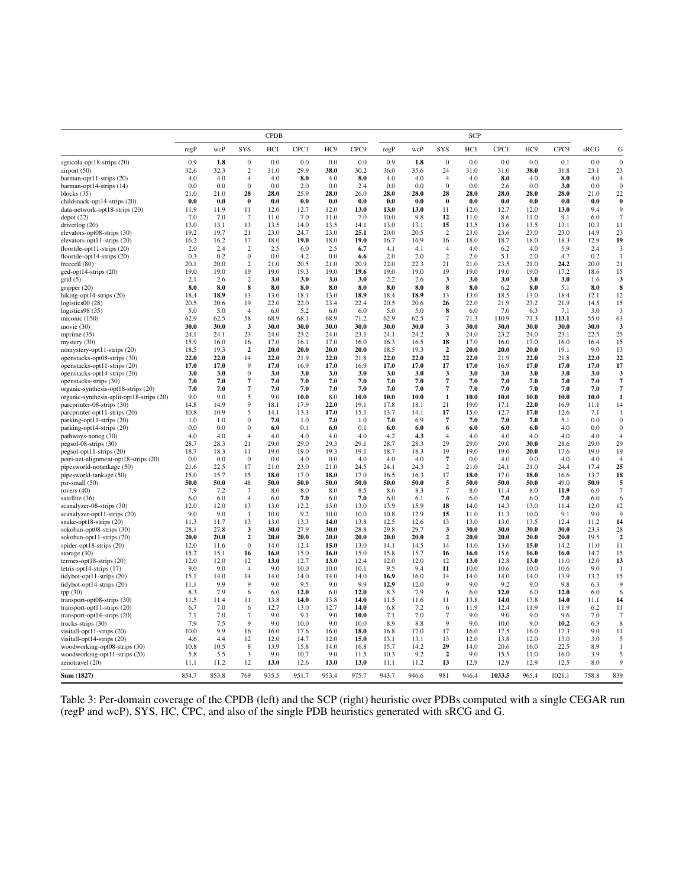|                                                                | <b>CPDB</b>  |              |                          |              |              | <b>SCP</b>      |              |              |              |                      |              |              |                 |              |              |                                      |
|----------------------------------------------------------------|--------------|--------------|--------------------------|--------------|--------------|-----------------|--------------|--------------|--------------|----------------------|--------------|--------------|-----------------|--------------|--------------|--------------------------------------|
|                                                                | regP         | wcP          | <b>SYS</b>               | HC1          | CPC1         | HC <sub>9</sub> | CPC9         | regP         | wcP          | SYS                  | HC1          | CPC1         | HC <sub>9</sub> | CPC9         | sRCG         | G                                    |
| agricola-opt18-strips (20)                                     | 0.9          | 1.8          | $\boldsymbol{0}$         | 0.0          | 0.0          | 0.0             | 0.0          | 0.9          | 1.8          | $\boldsymbol{0}$     | 0.0          | 0.0          | 0.0             | 0.1          | 0.0          | $\boldsymbol{0}$                     |
| airport (50)                                                   | 32.6         | 32.3         | 2                        | 31.0         | 29.9         | 38.0            | 30.2         | 36.0         | 35.6         | 24                   | 31.0         | 31.0         | 38.0            | 31.8         | 23.1         | 23                                   |
| barman-opt11-strips (20)                                       | 4.0          | 4.0          | $\overline{4}$           | 4.0          | 8.0          | 4.0             | 8.0          | 4.0          | 4.0          | $\overline{4}$       | 4.0          | 8.0          | 4.0             | 8.0          | 4.0          | $\overline{4}$                       |
| barman-opt14-strips (14)                                       | 0.0          | 0.0          | $\boldsymbol{0}$         | 0.0          | 2.0          | $0.0\,$         | 2.4          | 0.0          | 0.0          | $\bf{0}$             | 0.0          | 2.6          | 0.0             | 3.0          | 0.0          | $\boldsymbol{0}$                     |
| blocks $(35)$                                                  | 21.0         | 21.0         | 28                       | 28.0         | 25.9         | 28.0            | 26.0         | 28.0         | 28.0         | 28                   | 28.0         | 28.0         | 28.0            | 28.0         | 21.0         | 22                                   |
| childsnack-opt14-strips (20)                                   | 0.0<br>11.9  | 0.0<br>11.9  | $\bf{0}$<br>11           | 0.0<br>12.0  | 0.0<br>12.7  | 0.0<br>12.0     | 0.0<br>13.0  | 0.0<br>13.0  | 0.0<br>13.0  | $\bf{0}$<br>11       | 0.0          | 0.0<br>12.7  | 0.0             | 0.0<br>13.0  | 0.0<br>9.4   | $\bf{0}$<br>9                        |
| data-network-opt18-strips (20)                                 | 7.0          | 7.0          | $7\phantom{.0}$          | 11.0         | 7.0          | 11.0            | 7.0          | 10.0         | 9.8          | 12                   | 12.0<br>11.0 | 8.6          | 12.0<br>11.0    | 9.1          | 6.0          | $\overline{7}$                       |
| depot(22)<br>driverlog (20)                                    | 13.0         | 13.1         | 13                       | 13.5         | 14.0         | 13.5            | 14.1         | 13.0         | 13.1         | 15                   | 13.5         | 13.6         | 13.5            | 13.1         | 10.3         | 11                                   |
| elevators-opt08-strips (30)                                    | 19.2         | 19.7         | 21                       | 23.0         | 24.7         | 23.0            | 25.1         | 20.0         | 20.5         | $\overline{c}$       | 23.0         | 23.6         | 23.0            | 23.0         | 14.9         | 23                                   |
| elevators-opt11-strips (20)                                    | 16.2         | 16.2         | 17                       | 18.0         | 19.0         | 18.0            | 19.0         | 16.7         | 16.9         | 16                   | 18.0         | 18.7         | 18.0            | 18.3         | 12.9         | 19                                   |
| floortile-opt11-strips (20)                                    | 2.0          | 2.4          | $\overline{c}$           | 2.5          | 6.0          | 2.5             | 6.7          | 4.1          | 4.1          | $\overline{4}$       | 4.0          | 6.2          | 4.0             | 5.9          | 2.4          | 3                                    |
| floortile-opt14-strips (20)                                    | 0.3          | 0.2          | $\boldsymbol{0}$         | 0.0          | 4.2          | 0.0             | 6.6          | 2.0          | 2.0          | $\overline{c}$       | 2.0          | 5.1          | 2.0             | 4.7          | 0.2          | $\mathbf{1}$                         |
| freecell (80)                                                  | 20.1         | 20.0         | $\overline{c}$           | 21.0         | 20.5         | 21.0            | 20.9         | 22.0         | 22.3         | 21                   | 21.0         | 23.5         | 21.0            | 24.2         | 20.0         | 21                                   |
| ged-opt14-strips (20)                                          | 19.0         | 19.0         | 19                       | 19.0         | 19.3         | 19.0            | 19.6         | 19.0         | 19.0         | 19                   | 19.0         | 19.0         | 19.0            | 17.2         | 18.6         | 15                                   |
| grid(5)                                                        | 2.1          | 2.6          | $\overline{c}$           | 3.0          | 3.0          | 3.0             | 3.0          | 2.2          | 2.6          | 3                    | 3.0          | 3.0          | 3.0             | 3.0          | 1.6          | 3                                    |
| gripper (20)                                                   | 8.0          | 8.0          | 8                        | 8.0          | 8.0          | 8.0             | 8.0          | 8.0          | 8.0          | 8                    | 8.0          | 6.2          | 8.0             | 5.1          | 8.0          | 8                                    |
| hiking-opt14-strips (20)                                       | 18.4         | 18.9         | 13                       | 13.0         | 18.1         | 13.0            | 18.9         | 18.4         | 18.9         | 13                   | 13.0         | 18.5         | 13.0            | 18.4         | 12.1         | 12                                   |
| logistics $00(28)$                                             | 20.5         | 20.6         | 19                       | 22.0         | 22.0         | 23.4            | 22.4         | 20.5         | 20.6         | 26                   | 22.0         | 21.9         | 23.2            | 21.9<br>7.1  | 14.5         | 15<br>$\overline{3}$                 |
| logistics98 (35)                                               | 5.0<br>62.9  | 5.0<br>62.5  | $\overline{4}$<br>58     | 6.0<br>68.9  | 5.2<br>68.1  | 6.0<br>68.9     | 6.0<br>71.2  | 5.0<br>62.9  | 5.0<br>62.5  | 8<br>$\overline{7}$  | 6.0<br>71.3  | 7.0<br>110.9 | 6.3<br>71.3     | 113.1        | 3.0<br>55.0  | 63                                   |
| miconic (150)<br>movie (30)                                    | 30.0         | 30.0         | 3                        | 30.0         | 30.0         | 30.0            | 30.0         | 30.0         | 30.0         | 3                    | 30.0         | 30.0         | 30.0            | 30.0         | 30.0         | 3                                    |
| mprime (35)                                                    | 24.1         | 24.1         | 23                       | 24.0         | 23.2         | 24.0            | 23.1         | 24.1         | 24.2         | 3                    | 24.0         | 23.2         | 24.0            | 23.1         | 22.5         | 25                                   |
| mystery (30)                                                   | 15.9         | 16.0         | 16                       | 17.0         | 16.1         | 17.0            | 16.0         | 16.3         | 16.5         | 18                   | 17.0         | 16.0         | 17.0            | 16.0         | 16.4         | 15                                   |
| nomystery-opt11-strips (20)                                    | 18.5         | 19.3         | $\overline{2}$           | 20.0         | 20.0         | 20.0            | 20.0         | 18.5         | 19.3         | $\overline{2}$       | 20.0         | 20.0         | 20.0            | 19.1         | 9.0          | 13                                   |
| openstacks-opt08-strips (30)                                   | 22.0         | 22.0         | 14                       | 22.0         | 21.9         | 22.0            | 21.8         | 22.0         | 22.0         | 22                   | 22.0         | 21.9         | 22.0            | 21.8         | 22.0         | 22                                   |
| openstacks-opt11-strips (20)                                   | 17.0         | 17.0         | 9                        | 17.0         | 16.9         | 17.0            | 16.9         | 17.0         | 17.0         | 17                   | 17.0         | 16.9         | 17.0            | 17.0         | 17.0         | 17                                   |
| openstacks-opt14-strips (20)                                   | 3.0          | 3.0          | $\boldsymbol{0}$         | 3.0          | 3.0          | 3.0             | 3.0          | 3.0          | 3.0          | 3                    | 3.0          | 3.0          | 3.0             | 3.0          | 3.0          | 3                                    |
| openstacks-strips (30)                                         | 7.0          | 7.0          | 7                        | 7.0          | 7.0          | 7.0             | 7.0          | 7.0          | 7.0          | $\overline{7}$       | 7.0          | 7.0          | 7.0             | 7.0          | 7.0          | $\overline{7}$                       |
| organic-synthesis-opt18-strips (20)                            | 7.0          | 7.0          | $\overline{\phantom{a}}$ | 7.0          | 7.0          | 7.0             | 7.0          | 7.0          | 7.0          | $\overline{7}$       | 7.0          | 7.0          | 7.0             | 7.0          | 7.0          | $\overline{7}$                       |
| organic-synthesis-split-opt18-strips (20)                      | 9.0          | 9.0          | 5                        | 9.0          | 10.0         | 8.0             | 10.0         | 10.0         | 10.0         | 1                    | 10.0         | 10.0         | 10.0            | 10.0         | 10.0         | 1                                    |
| parcprinter-08-strips (30)                                     | 14.8         | 14.9         | 9                        | 18.1         | 17.9         | 22.0            | 19.1         | 17.8         | 18.1         | 21                   | 19.0         | 17.1         | 22.0            | 16.9         | 11.1         | 14                                   |
| parcprinter-opt11-strips (20)                                  | 10.8         | 10.9         | 5<br>$\boldsymbol{0}$    | 14.1         | 13.3         | 17.0            | 15.1         | 13.7         | 14.1         | 17                   | 15.0         | 12.7         | 17.0            | 12.6         | 7.1          | $\overline{1}$                       |
| parking-opt11-strips (20)                                      | 1.0<br>0.0   | 1.0<br>0.0   | $\boldsymbol{0}$         | 7.0          | 1.0<br>0.1   | 7.0             | 1.0          | 7.0          | 6.9          | $\overline{7}$       | 7.0          | 7.0          | 7.0             | 5.1<br>4.0   | 0.0<br>0.0   | $\boldsymbol{0}$<br>$\boldsymbol{0}$ |
| parking-opt14-strips (20)<br>pathways-noneg (30)               | 4.0          | 4.0          | $\overline{4}$           | 6.0<br>4.0   | 4.0          | 6.0<br>4.0      | 0.1<br>4.0   | 6.0<br>4.2   | 6.0<br>4.3   | 6<br>$\overline{4}$  | 6.0<br>4.0   | 6.0<br>4.0   | 6.0<br>4.0      | 4.0          | 4.0          | $\overline{4}$                       |
| pegsol-08-strips (30)                                          | 28.7         | 28.3         | 21                       | 29.0         | 29.0         | 29.3            | 29.1         | 28.7         | 28.3         | 29                   | 29.0         | 29.0         | 30.0            | 28.6         | 29.0         | 29                                   |
| pegsol-opt11-strips (20)                                       | 18.7         | 18.3         | 11                       | 19.0         | 19.0         | 19.3            | 19.1         | 18.7         | 18.3         | 19                   | 19.0         | 19.0         | 20.0            | 17.6         | 19.0         | 19                                   |
| petri-net-alignment-opt18-strips (20)                          | 0.0          | 0.0          | $\mathbf{0}$             | 0.0          | 4.0          | 0.0             | 4.0          | 4.0          | 4.0          | $\overline{7}$       | 0.0          | 4.0          | 0.0             | 4.0          | 4.0          | $\overline{4}$                       |
| pipesworld-notankage (50)                                      | 21.6         | 22.5         | 17                       | 21.0         | 23.0         | 21.0            | 24.5         | 24.1         | 24.3         | $\overline{c}$       | 21.0         | 24.1         | 21.0            | 24.4         | 17.4         | 25                                   |
| pipesworld-tankage (50)                                        | 15.0         | 15.7         | 15                       | 18.0         | 17.0         | 18.0            | 17.0         | 16.5         | 16.3         | 17                   | 18.0         | 17.0         | 18.0            | 16.6         | 13.7         | 18                                   |
| psr-small (50)                                                 | 50.0         | 50.0         | 48                       | 50.0         | 50.0         | 50.0            | 50.0         | 50.0         | 50.0         | 5                    | 50.0         | 50.0         | 50.0            | 49.0         | 50.0         | 5                                    |
| rovers $(40)$                                                  | 7.9          | 7.2          | $\overline{7}$           | 8.0          | 8.0          | 8.0             | 8.5          | 8.6          | 8.3          | $\overline{7}$       | 8.0          | 11.4         | 8.0             | 11.9         | 6.0          | $\overline{7}$                       |
| satellite (36)                                                 | 6.0          | 6.0          | 4                        | 6.0          | 7.0          | 6.0             | 7.0          | 6.0          | 6.1          | 6                    | 6.0          | 7.0          | 6.0             | 7.0          | 6.0          | 6                                    |
| scanalyzer-08-strips (30)                                      | 12.0         | 12.0         | 13                       | 13.0         | 12.2         | 13.0            | 13.0         | 13.9         | 15.9         | 18                   | 14.0         | 14.3         | 13.0            | 11.4         | 12.0         | 12                                   |
| scanalyzer-opt11-strips (20)                                   | 9.0          | 9.0          | $\overline{1}$           | 10.0         | 9.2          | 10.0            | 10.0         | 10.8         | 12.9         | 15                   | 11.0         | 11.3         | 10.0            | 9.1          | 9.0          | 9                                    |
| snake-opt18-strips (20)                                        | 11.3<br>28.1 | 11.7<br>27.8 | 13                       | 13.0         | 13.3<br>27.9 | 14.0<br>30.0    | 13.8         | 12.5         | 12.6         | 13<br>3              | 13.0<br>30.0 | 13.0<br>30.0 | 13.5<br>30.0    | 12.4<br>30.0 | 11.2<br>23.3 | 14                                   |
| sokoban-opt08-strips (30)<br>sokoban-opt11-strips (20)         | 20.0         | 20.0         | 3<br>$\boldsymbol{2}$    | 30.0<br>20.0 | 20.0         | 20.0            | 28.8<br>20.0 | 29.8<br>20.0 | 29.7<br>20.0 | $\mathbf{2}$         | 20.0         | 20.0         | 20.0            | 20.0         | 19.5         | 28<br>$\overline{2}$                 |
| spider-opt18-strips (20)                                       | 12.0         | 11.6         | $\mathbf{0}$             | 14.0         | 12.4         | 15.0            | 13.0         | 14.1         | 14.5         | 14                   | 14.0         | 13.6         | 15.0            | 14.2         | 11.0         | 11                                   |
| storage $(30)$                                                 | 15.2         | 15.1         | 16                       | 16.0         | 15.0         | 16.0            | 15.0         | 15.8         | 15.7         | 16                   | 16.0         | 15.6         | 16.0            | 16.0         | 14.7         | 15                                   |
| termes-opt18-strips $(20)$                                     | 12.0         | 12.0         | 12                       | 13.0         | 12.7         | 13.0            | 12.4         | 12.0         | 12.0         | 12                   | 13.0         | 12.8         | 13.0            | 11.0         | 12.0         | 13                                   |
| tetris-opt14-strips $(17)$                                     | 9.0          | 9.0          | 4                        | 9.0          | 10.0         | 10.0            | 10.1         | 9.5          | 9.4          | 11                   | 10.0         | 10.6         | 10.0            | 10.6         | 9.0          | -1                                   |
| tidybot-opt11-strips (20)                                      | 15.1         | 14.0         | 14                       | 14.0         | 14.0         | 14.0            | 14.0         | 16.9         | 16.0         | 14                   | 14.0         | 14.0         | 14.0            | 13.9         | 13.2         | 15                                   |
| tidybot-opt14-strips (20)                                      | 11.1         | 9.9          | 9                        | 9.0          | 9.5          | 9.0             | 9.9          | 12.9         | 12.0         | 9                    | 9.0          | 9.2          | 9.0             | 9.8          | 6.3          | 9                                    |
| tpp (30)                                                       | 8.3          | 7.9          | 6                        | 6.0          | 12.0         | 6.0             | 12.0         | 8.3          | 7.9          | 6                    | 6.0          | 12.0         | 6.0             | 12.0         | 6.0          | 6                                    |
| transport-opt08-strips (30)                                    | 11.5         | 11.4         | 11                       | 13.8         | 14.0         | 13.8            | 14.0         | 11.5         | 11.6         | 11                   | 13.8         | 14.0         | 13.8            | 14.0         | 11.1         | 14                                   |
| transport-opt11-strips (20)                                    | 6.7          | 7.0          | 6                        | 12.7         | 13.0         | 12.7            | 14.0         | 6.8          | 7.2          | 6                    | 11.9         | 12.4         | 11.9            | 11.9         | 6.2          | 11                                   |
| transport-opt14-strips (20)                                    | 7.1          | 7.0          | $\overline{7}$           | 9.0          | 9.1          | 9.0             | 10.0         | 7.1          | 7.0          | $\overline{7}$       | 9.0          | 9.0          | 9.0             | 9.6          | 7.0          | 7                                    |
| trucks-strips (30)                                             | 7.9          | 7.5          | 9                        | 9.0          | 10.0         | 9.0             | 10.0         | 8.9          | 8.8          | 9                    | 9.0          | 10.0         | 9.0             | 10.2         | 6.3          | 8                                    |
| visitall-opt11-strips (20)                                     | 10.0         | 9.9          | 16                       | 16.0         | 17.6         | 16.0            | 18.0         | 16.8         | 17.0         | 17                   | 16.0         | 17.5         | 16.0            | 17.3         | 9.0          | 11                                   |
| visitall-opt14-strips (20)                                     | 4.6<br>10.8  | 4.4<br>10.5  | 12                       | 12.0<br>13.9 | 14.7<br>15.8 | 12.0<br>14.0    | 15.0<br>16.8 | 13.1<br>15.7 | 13.1<br>14.2 | 13                   | 12.0<br>14.0 | 13.8<br>20.6 | 12.0<br>16.0    | 13.0<br>22.5 | 3.0<br>8.9   | 5<br>$\mathbf{1}$                    |
| woodworking-opt08-strips (30)<br>woodworking-opt11-strips (20) | 5.8          | 5.5          | $\,$ 8 $\,$<br>3         | 9.0          | 10.7         | 9.0             | 11.5         | 10.3         | 9.2          | 29<br>$\overline{2}$ | 9.0          | 15.5         | 11.0            | 16.0         | 3.9          | 5                                    |
| zenotravel (20)                                                | 11.1         | 11.2         | 12                       | 13.0         | 12.6         | 13.0            | 13.0         | 11.1         | 11.2         | 13                   | 12.9         | 12.9         | 12.9            | 12.5         | 8.0          | 9                                    |
| Sum (1827)                                                     | 854.7        | 853.8        | 769                      | 935.5        | 951.7        | 953.4           | 975.7        | 943.7        | 946.6        | 981                  | 946.4        | 1033.5       | 965.4           | 1021.1       | 758.8        | 839                                  |
|                                                                |              |              |                          |              |              |                 |              |              |              |                      |              |              |                 |              |              |                                      |

Table 3: Per-domain coverage of the CPDB (left) and the SCP (right) heuristic over PDBs computed with a single CEGAR run (regP and wcP), SYS, HC, CPC, and also of the single PDB heuristics generated with sRCG and G.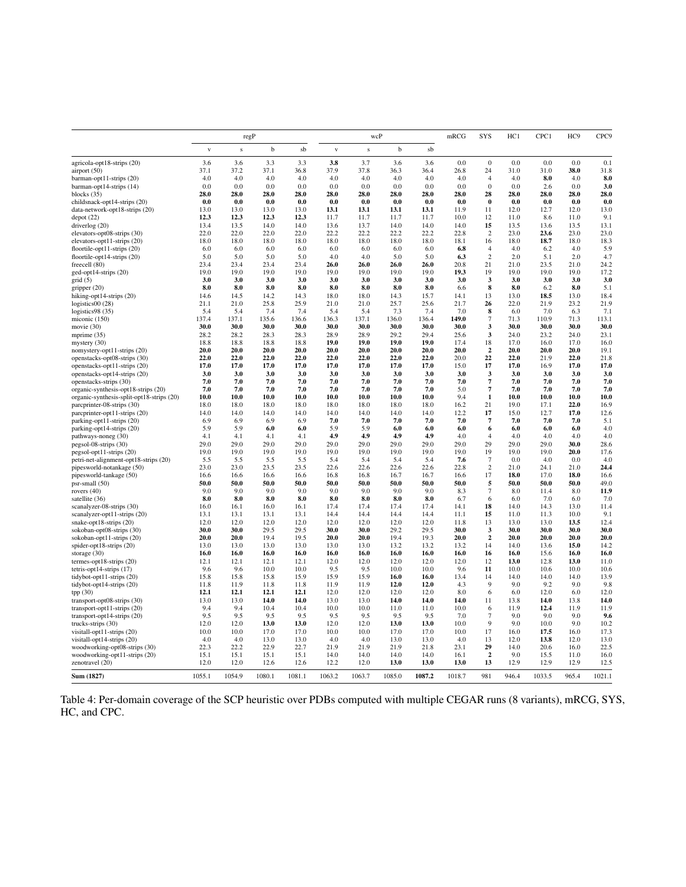|                                                        |              |              | regP         |              |              |              | wcP          |              | mRCG         | SYS                            | HC1          | CPC1         | HC <sub>9</sub> | CPC <sub>9</sub> |
|--------------------------------------------------------|--------------|--------------|--------------|--------------|--------------|--------------|--------------|--------------|--------------|--------------------------------|--------------|--------------|-----------------|------------------|
|                                                        | $\mathbf{V}$ | $\bf S$      | b            | sb           | $\mathbf{V}$ | $\bf S$      | b            | sb           |              |                                |              |              |                 |                  |
| agricola-opt18-strips (20)                             | 3.6          | 3.6          | 3.3          | 3.3          | 3.8          | 3.7          | 3.6          | 3.6          | 0.0          | $\boldsymbol{0}$               | 0.0          | 0.0          | 0.0             | 0.1              |
| airport $(50)$                                         | 37.1         | 37.2         | 37.1         | 36.8         | 37.9         | 37.8         | 36.3         | 36.4         | 26.8         | 24                             | 31.0         | 31.0         | 38.0            | 31.8             |
| barman-opt11-strips (20)                               | 4.0<br>0.0   | 4.0<br>0.0   | 4.0<br>0.0   | 4.0<br>0.0   | 4.0<br>0.0   | 4.0<br>0.0   | 4.0<br>0.0   | 4.0<br>0.0   | 4.0<br>0.0   | $\overline{4}$<br>$\mathbf{0}$ | 4.0<br>0.0   | 8.0<br>2.6   | 4.0<br>0.0      | 8.0<br>3.0       |
| barman-opt14-strips (14)<br>blocks (35)                | 28.0         | 28.0         | 28.0         | 28.0         | 28.0         | 28.0         | 28.0         | 28.0         | 28.0         | 28                             | 28.0         | 28.0         | 28.0            | 28.0             |
| childsnack-opt14-strips (20)                           | 0.0          | 0.0          | 0.0          | 0.0          | 0.0          | 0.0          | 0.0          | 0.0          | 0.0          | $\bf{0}$                       | 0.0          | 0.0          | 0.0             | 0.0              |
| data-network-opt18-strips (20)                         | 13.0         | 13.0         | 13.0         | 13.0         | 13.1         | 13.1         | 13.1         | 13.1         | 11.9         | 11                             | 12.0         | 12.7         | 12.0            | 13.0             |
| depot(22)                                              | 12.3         | 12.3         | 12.3         | 12.3         | 11.7         | 11.7         | 11.7         | 11.7         | 10.0         | 12                             | 11.0         | 8.6          | 11.0            | 9.1              |
| driverlog (20)                                         | 13.4         | 13.5         | 14.0         | 14.0         | 13.6         | 13.7         | 14.0         | 14.0         | 14.0         | 15                             | 13.5         | 13.6         | 13.5            | 13.1             |
| elevators-opt08-strips (30)                            | 22.0         | 22.0         | 22.0         | 22.0         | 22.2         | 22.2         | 22.2         | 22.2         | 22.8         | $\overline{c}$                 | 23.0         | 23.6         | 23.0            | 23.0             |
| elevators-opt11-strips (20)                            | 18.0         | 18.0         | 18.0         | 18.0         | 18.0         | 18.0         | 18.0         | 18.0         | 18.1         | 16                             | 18.0         | 18.7         | 18.0            | 18.3             |
| floortile-opt11-strips (20)                            | 6.0          | 6.0          | 6.0          | 6.0          | 6.0          | 6.0          | 6.0          | 6.0          | 6.8          | 4                              | 4.0          | 6.2          | 4.0             | 5.9              |
| floortile-opt14-strips (20)<br>freecell (80)           | 5.0<br>23.4  | 5.0<br>23.4  | 5.0<br>23.4  | 5.0<br>23.4  | 4.0<br>26.0  | 4.0<br>26.0  | 5.0<br>26.0  | 5.0<br>26.0  | 6.3<br>20.8  | $\overline{c}$<br>21           | 2.0<br>21.0  | 5.1<br>23.5  | 2.0<br>21.0     | 4.7<br>24.2      |
| ged-opt14-strips (20)                                  | 19.0         | 19.0         | 19.0         | 19.0         | 19.0         | 19.0         | 19.0         | 19.0         | 19.3         | 19                             | 19.0         | 19.0         | 19.0            | 17.2             |
| grid(5)                                                | 3.0          | 3.0          | 3.0          | 3.0          | 3.0          | 3.0          | 3.0          | 3.0          | 3.0          | 3                              | 3.0          | 3.0          | 3.0             | 3.0              |
| gripper $(20)$                                         | 8.0          | 8.0          | 8.0          | 8.0          | 8.0          | 8.0          | 8.0          | 8.0          | 6.6          | 8                              | 8.0          | 6.2          | 8.0             | 5.1              |
| hiking-opt14-strips (20)                               | 14.6         | 14.5         | 14.2         | 14.3         | 18.0         | 18.0         | 14.3         | 15.7         | 14.1         | 13                             | 13.0         | 18.5         | 13.0            | 18.4             |
| logistics $00(28)$                                     | 21.1         | 21.0         | 25.8         | 25.9         | 21.0         | 21.0         | 25.7         | 25.6         | 21.7         | 26                             | 22.0         | 21.9         | 23.2            | 21.9             |
| logistics98 (35)                                       | 5.4          | 5.4          | 7.4          | 7.4          | 5.4          | 5.4          | 7.3          | 7.4          | 7.0          | 8                              | 6.0          | 7.0          | 6.3             | 7.1              |
| miconic (150)                                          | 137.4        | 137.1        | 135.6        | 136.6        | 136.3        | 137.1        | 136.0        | 136.4        | 149.0        | $\overline{7}$                 | 71.3         | 110.9        | 71.3            | 113.1            |
| movie $(30)$                                           | 30.0         | 30.0         | 30.0         | 30.0         | 30.0         | 30.0         | 30.0         | 30.0         | 30.0         | 3                              | 30.0         | 30.0         | 30.0            | 30.0             |
| mprime $(35)$                                          | 28.2         | 28.2         | 28.3         | 28.3         | 28.9<br>19.0 | 28.9<br>19.0 | 29.2         | 29.4<br>19.0 | 25.6         | 3                              | 24.0<br>17.0 | 23.2         | 24.0            | 23.1             |
| mystery (30)<br>nomystery-opt11-strips (20)            | 18.8<br>20.0 | 18.8<br>20.0 | 18.8<br>20.0 | 18.8<br>20.0 | 20.0         | 20.0         | 19.0<br>20.0 | 20.0         | 17.4<br>20.0 | 18<br>$\boldsymbol{2}$         | 20.0         | 16.0<br>20.0 | 17.0<br>20.0    | 16.0<br>19.1     |
| openstacks-opt08-strips (30)                           | 22.0         | 22.0         | 22.0         | 22.0         | 22.0         | 22.0         | 22.0         | 22.0         | 20.0         | 22                             | 22.0         | 21.9         | 22.0            | 21.8             |
| openstacks-opt11-strips (20)                           | 17.0         | 17.0         | 17.0         | 17.0         | 17.0         | 17.0         | 17.0         | 17.0         | 15.0         | 17                             | 17.0         | 16.9         | 17.0            | 17.0             |
| openstacks-opt14-strips (20)                           | 3.0          | 3.0          | 3.0          | 3.0          | 3.0          | 3.0          | 3.0          | 3.0          | 3.0          | 3                              | 3.0          | 3.0          | 3.0             | 3.0              |
| openstacks-strips (30)                                 | 7.0          | 7.0          | 7.0          | 7.0          | 7.0          | 7.0          | 7.0          | 7.0          | 7.0          | 7                              | 7.0          | 7.0          | 7.0             | 7.0              |
| organic-synthesis-opt18-strips (20)                    | 7.0          | 7.0          | 7.0          | 7.0          | 7.0          | 7.0          | 7.0          | 7.0          | 5.0          | $\overline{\mathcal{I}}$       | 7.0          | 7.0          | 7.0             | 7.0              |
| organic-synthesis-split-opt18-strips (20)              | 10.0         | 10.0         | 10.0         | 10.0         | 10.0         | 10.0         | 10.0         | 10.0         | 9.4          | 1                              | 10.0         | 10.0         | 10.0            | 10.0             |
| parcprinter-08-strips (30)                             | 18.0         | 18.0         | 18.0         | 18.0         | 18.0         | 18.0         | 18.0         | 18.0         | 16.2         | 21                             | 19.0         | 17.1         | 22.0            | 16.9             |
| parcprinter-opt11-strips (20)                          | 14.0         | 14.0         | 14.0         | 14.0         | 14.0         | 14.0         | 14.0         | 14.0         | 12.2         | 17                             | 15.0         | 12.7         | 17.0            | 12.6             |
| parking-opt11-strips (20)<br>parking-opt14-strips (20) | 6.9<br>5.9   | 6.9<br>5.9   | 6.9<br>6.0   | 6.9<br>6.0   | 7.0<br>5.9   | 7.0<br>5.9   | 7.0<br>6.0   | 7.0<br>6.0   | 7.0<br>6.0   | $\overline{7}$<br>6            | 7.0<br>6.0   | 7.0<br>6.0   | 7.0<br>6.0      | 5.1<br>4.0       |
| pathways-noneg (30)                                    | 4.1          | 4.1          | 4.1          | 4.1          | 4.9          | 4.9          | 4.9          | 4.9          | 4.0          | $\overline{4}$                 | 4.0          | 4.0          | 4.0             | 4.0              |
| pegsol-08-strips (30)                                  | 29.0         | 29.0         | 29.0         | 29.0         | 29.0         | 29.0         | 29.0         | 29.0         | 29.0         | 29                             | 29.0         | 29.0         | 30.0            | 28.6             |
| pegsol-opt11-strips (20)                               | 19.0         | 19.0         | 19.0         | 19.0         | 19.0         | 19.0         | 19.0         | 19.0         | 19.0         | 19                             | 19.0         | 19.0         | 20.0            | 17.6             |
| petri-net-alignment-opt18-strips (20)                  | 5.5          | 5.5          | 5.5          | 5.5          | 5.4          | 5.4          | 5.4          | 5.4          | 7.6          | $\overline{7}$                 | 0.0          | 4.0          | 0.0             | 4.0              |
| pipesworld-notankage (50)                              | 23.0         | 23.0         | 23.5         | 23.5         | 22.6         | 22.6         | 22.6         | 22.6         | 22.8         | $\overline{c}$                 | 21.0         | 24.1         | 21.0            | 24.4             |
| pipesworld-tankage (50)                                | 16.6         | 16.6         | 16.6         | 16.6         | 16.8         | 16.8         | 16.7         | 16.7         | 16.6         | 17                             | 18.0         | 17.0         | 18.0            | 16.6             |
| psr-small (50)                                         | 50.0         | 50.0         | 50.0         | 50.0         | 50.0         | 50.0         | 50.0         | 50.0         | 50.0         | 5                              | 50.0         | 50.0         | 50.0            | 49.0             |
| rovers $(40)$                                          | 9.0          | 9.0          | 9.0          | 9.0          | 9.0          | 9.0          | 9.0          | 9.0          | 8.3          | $\overline{7}$                 | 8.0          | 11.4         | 8.0             | 11.9             |
| satellite (36)<br>scanalyzer-08-strips (30)            | 8.0<br>16.0  | 8.0<br>16.1  | 8.0<br>16.0  | 8.0<br>16.1  | 8.0<br>17.4  | 8.0<br>17.4  | 8.0<br>17.4  | 8.0<br>17.4  | 6.7<br>14.1  | 6<br>18                        | 6.0<br>14.0  | 7.0<br>14.3  | 6.0<br>13.0     | 7.0<br>11.4      |
| scanalyzer-opt11-strips (20)                           | 13.1         | 13.1         | 13.1         | 13.1         | 14.4         | 14.4         | 14.4         | 14.4         | 11.1         | 15                             | 11.0         | 11.3         | 10.0            | 9.1              |
| snake-opt18-strips (20)                                | 12.0         | 12.0         | 12.0         | 12.0         | 12.0         | 12.0         | 12.0         | 12.0         | 11.8         | 13                             | 13.0         | 13.0         | 13.5            | 12.4             |
| sokoban-opt08-strips (30)                              | 30.0         | 30.0         | 29.5         | 29.5         | 30.0         | 30.0         | 29.2         | 29.5         | 30.0         | 3                              | 30.0         | 30.0         | 30.0            | 30.0             |
| sokoban-opt11-strips (20)                              | 20.0         | 20.0         | 19.4         | 19.5         | 20.0         | 20.0         | 19.4         | 19.3         | 20.0         | $\overline{\mathbf{2}}$        | 20.0         | 20.0         | 20.0            | 20.0             |
| spider-opt18-strips (20)                               | 13.0         | 13.0         | 13.0         | 13.0         | 13.0         | 13.0         | 13.2         | 13.2         | 13.2         | 14                             | 14.0         | 13.6         | 15.0            | 14.2             |
| storage $(30)$                                         | 16.0         | 16.0         | 16.0         | 16.0         | 16.0         | 16.0         | 16.0         | 16.0         | 16.0         | 16                             | 16.0         | 15.6         | 16.0            | 16.0             |
| termes-opt18-strips (20)                               | 12.1         | 12.1         | 12.1         | 12.1         | 12.0         | 12.0         | 12.0         | 12.0         | 12.0         | 12                             | 13.0         | 12.8         | 13.0            | 11.0             |
| $tetris$ -opt14-strips $(17)$                          | 9.6          | 9.6          | 10.0         | 10.0         | 9.5          | 9.5          | 10.0         | 10.0         | 9.6          | 11                             | 10.0         | 10.6         | 10.0            | 10.6             |
| tidybot-opt11-strips (20)                              | 15.8<br>11.8 | 15.8<br>11.9 | 15.8<br>11.8 | 15.9<br>11.8 | 15.9<br>11.9 | 15.9<br>11.9 | 16.0<br>12.0 | 16.0<br>12.0 | 13.4<br>4.3  | 14<br>9                        | 14.0<br>9.0  | 14.0<br>9.2  | 14.0<br>9.0     | 13.9<br>9.8      |
| tidybot-opt14-strips (20)<br>tpp(30)                   | 12.1         | 12.1         | 12.1         | 12.1         | 12.0         | 12.0         | 12.0         | 12.0         | 8.0          | 6                              | 6.0          | 12.0         | 6.0             | 12.0             |
| transport-opt08-strips (30)                            | 13.0         | 13.0         | 14.0         | 14.0         | 13.0         | 13.0         | 14.0         | 14.0         | 14.0         | 11                             | 13.8         | 14.0         | 13.8            | 14.0             |
| transport-opt11-strips (20)                            | 9.4          | 9.4          | 10.4         | 10.4         | 10.0         | 10.0         | 11.0         | 11.0         | 10.0         | 6                              | 11.9         | 12.4         | 11.9            | 11.9             |
| transport-opt14-strips (20)                            | 9.5          | 9.5          | 9.5          | 9.5          | 9.5          | 9.5          | 9.5          | 9.5          | 7.0          | $\overline{7}$                 | 9.0          | 9.0          | 9.0             | 9.6              |
| trucks-strips (30)                                     | 12.0         | 12.0         | 13.0         | 13.0         | 12.0         | 12.0         | 13.0         | 13.0         | 10.0         | 9                              | 9.0          | 10.0         | 9.0             | 10.2             |
| visitall-opt11-strips (20)                             | 10.0         | 10.0         | 17.0         | 17.0         | 10.0         | 10.0         | 17.0         | 17.0         | 10.0         | 17                             | 16.0         | 17.5         | 16.0            | 17.3             |
| visitall-opt14-strips (20)                             | 4.0          | 4.0          | 13.0         | 13.0         | 4.0          | 4.0          | 13.0         | 13.0         | 4.0          | 13                             | 12.0         | 13.8         | 12.0            | 13.0             |
| woodworking-opt08-strips (30)                          | 22.3         | 22.2         | 22.9         | 22.7         | 21.9         | 21.9         | 21.9         | 21.8         | 23.1         | 29                             | 14.0         | 20.6         | 16.0            | 22.5             |
| woodworking-opt11-strips (20)                          | 15.1         | 15.1         | 15.1         | 15.1         | 14.0         | 14.0         | 14.0         | 14.0         | 16.1         | $\overline{2}$                 | 9.0          | 15.5         | 11.0            | 16.0             |
| zenotravel (20)                                        | 12.0         | 12.0         | 12.6         | 12.6         | 12.2         | 12.0         | 13.0         | 13.0         | 13.0         | 13                             | 12.9         | 12.9         | 12.9            | 12.5<br>1021.1   |
| Sum (1827)                                             | 1055.1       | 1054.9       | 1080.1       | 1081.1       | 1063.2       | 1063.7       | 1085.0       | 1087.2       | 1018.7       | 981                            | 946.4        | 1033.5       | 965.4           |                  |

Table 4: Per-domain coverage of the SCP heuristic over PDBs computed with multiple CEGAR runs (8 variants), mRCG, SYS, HC, and CPC.